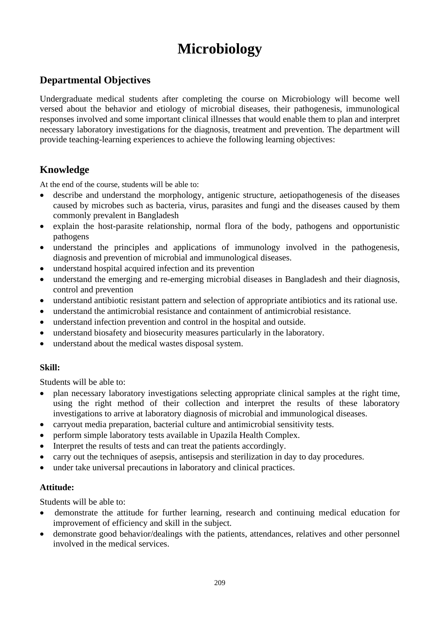# **Microbiology**

### **Departmental Objectives**

Undergraduate medical students after completing the course on Microbiology will become well versed about the behavior and etiology of microbial diseases, their pathogenesis, immunological responses involved and some important clinical illnesses that would enable them to plan and interpret necessary laboratory investigations for the diagnosis, treatment and prevention. The department will provide teaching-learning experiences to achieve the following learning objectives:

### **Knowledge**

At the end of the course, students will be able to:

- describe and understand the morphology, antigenic structure, aetiopathogenesis of the diseases caused by microbes such as bacteria, virus, parasites and fungi and the diseases caused by them commonly prevalent in Bangladesh
- explain the host-parasite relationship, normal flora of the body, pathogens and opportunistic pathogens
- understand the principles and applications of immunology involved in the pathogenesis, diagnosis and prevention of microbial and immunological diseases.
- understand hospital acquired infection and its prevention
- understand the emerging and re-emerging microbial diseases in Bangladesh and their diagnosis, control and prevention
- understand antibiotic resistant pattern and selection of appropriate antibiotics and its rational use.
- understand the antimicrobial resistance and containment of antimicrobial resistance.
- understand infection prevention and control in the hospital and outside.
- understand biosafety and biosecurity measures particularly in the laboratory.
- understand about the medical wastes disposal system.

### **Skill:**

Students will be able to:

- plan necessary laboratory investigations selecting appropriate clinical samples at the right time, using the right method of their collection and interpret the results of these laboratory investigations to arrive at laboratory diagnosis of microbial and immunological diseases.
- carryout media preparation, bacterial culture and antimicrobial sensitivity tests.
- perform simple laboratory tests available in Upazila Health Complex.
- Interpret the results of tests and can treat the patients accordingly.
- carry out the techniques of asepsis, antisepsis and sterilization in day to day procedures.
- under take universal precautions in laboratory and clinical practices.

### **Attitude:**

Students will be able to:

- demonstrate the attitude for further learning, research and continuing medical education for improvement of efficiency and skill in the subject.
- demonstrate good behavior/dealings with the patients, attendances, relatives and other personnel involved in the medical services.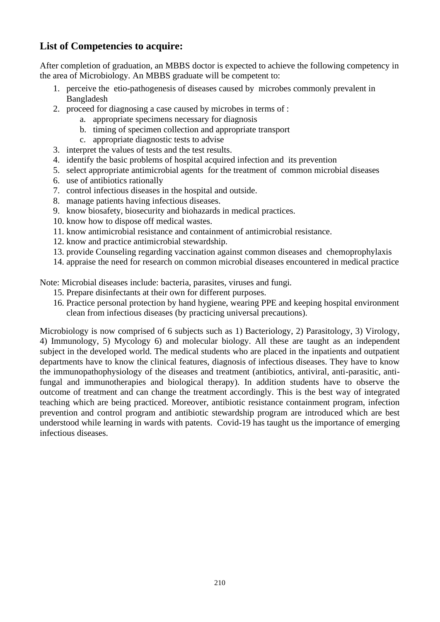### **List of Competencies to acquire:**

After completion of graduation, an MBBS doctor is expected to achieve the following competency in the area of Microbiology. An MBBS graduate will be competent to:

- 1. perceive the etio-pathogenesis of diseases caused by microbes commonly prevalent in Bangladesh
- 2. proceed for diagnosing a case caused by microbes in terms of :
	- a. appropriate specimens necessary for diagnosis
	- b. timing of specimen collection and appropriate transport
	- c. appropriate diagnostic tests to advise
- 3. interpret the values of tests and the test results.
- 4. identify the basic problems of hospital acquired infection and its prevention
- 5. select appropriate antimicrobial agents for the treatment of common microbial diseases
- 6. use of antibiotics rationally
- 7. control infectious diseases in the hospital and outside.
- 8. manage patients having infectious diseases.
- 9. know biosafety, biosecurity and biohazards in medical practices.
- 10. know how to dispose off medical wastes.
- 11. know antimicrobial resistance and containment of antimicrobial resistance.
- 12. know and practice antimicrobial stewardship.
- 13. provide Counseling regarding vaccination against common diseases and chemoprophylaxis
- 14. appraise the need for research on common microbial diseases encountered in medical practice

Note: Microbial diseases include: bacteria, parasites, viruses and fungi*.*

- 15. Prepare disinfectants at their own for different purposes.
- 16. Practice personal protection by hand hygiene, wearing PPE and keeping hospital environment clean from infectious diseases (by practicing universal precautions).

Microbiology is now comprised of 6 subjects such as 1) Bacteriology, 2) Parasitology, 3) Virology, 4) Immunology, 5) Mycology 6) and molecular biology. All these are taught as an independent subject in the developed world. The medical students who are placed in the inpatients and outpatient departments have to know the clinical features, diagnosis of infectious diseases. They have to know the immunopathophysiology of the diseases and treatment (antibiotics, antiviral, anti-parasitic, antifungal and immunotherapies and biological therapy). In addition students have to observe the outcome of treatment and can change the treatment accordingly. This is the best way of integrated teaching which are being practiced. Moreover, antibiotic resistance containment program, infection prevention and control program and antibiotic stewardship program are introduced which are best understood while learning in wards with patents. Covid-19 has taught us the importance of emerging infectious diseases.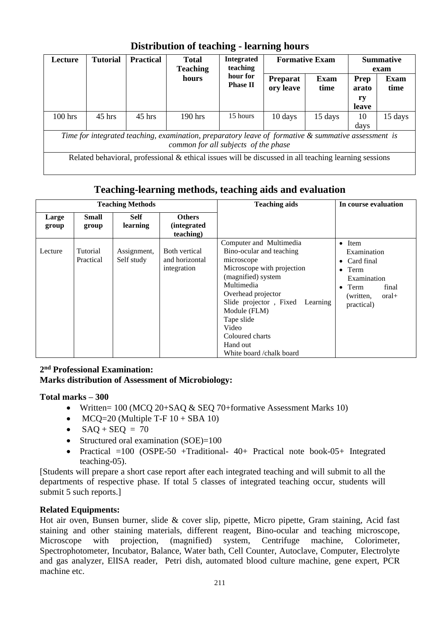| Lecture                                                                                                                                     | <b>Tutorial</b> | <b>Practical</b> | <b>Total</b><br><b>Teaching</b>                                                                       | <b>Integrated</b><br>teaching | <b>Formative Exam</b>        |                     |                              | <b>Summative</b><br>exam |
|---------------------------------------------------------------------------------------------------------------------------------------------|-----------------|------------------|-------------------------------------------------------------------------------------------------------|-------------------------------|------------------------------|---------------------|------------------------------|--------------------------|
|                                                                                                                                             |                 |                  | hours                                                                                                 | hour for<br><b>Phase II</b>   | <b>Preparat</b><br>ory leave | <b>Exam</b><br>time | Prep<br>arato<br>ry<br>leave | <b>Exam</b><br>time      |
| $100$ hrs                                                                                                                                   | $45$ hrs        | $45$ hrs         | $190$ hrs                                                                                             | 15 hours                      | 10 days                      | 15 days             | 10<br>days                   | 15 days                  |
| Time for integrated teaching, examination, preparatory leave of formative & summative assessment is<br>common for all subjects of the phase |                 |                  |                                                                                                       |                               |                              |                     |                              |                          |
|                                                                                                                                             |                 |                  | Related behavioral, professional & ethical issues will be discussed in all teaching learning sessions |                               |                              |                     |                              |                          |

### **Distribution of teaching - learning hours**

### **Teaching-learning methods, teaching aids and evaluation**

| <b>Teaching Methods</b> |                       | <b>Teaching aids</b>      | In course evaluation                              |                                                                                                                                                                                                                                                                                                   |                                                                                                                                                 |
|-------------------------|-----------------------|---------------------------|---------------------------------------------------|---------------------------------------------------------------------------------------------------------------------------------------------------------------------------------------------------------------------------------------------------------------------------------------------------|-------------------------------------------------------------------------------------------------------------------------------------------------|
| Large<br>group          | Small<br>group        | <b>Self</b><br>learning   | <b>Others</b><br><i>(integrated)</i><br>teaching) |                                                                                                                                                                                                                                                                                                   |                                                                                                                                                 |
| Lecture                 | Tutorial<br>Practical | Assignment,<br>Self study | Both vertical<br>and horizontal<br>integration    | Computer and Multimedia<br>Bino-ocular and teaching<br>microscope<br>Microscope with projection<br>(magnified) system<br>Multimedia<br>Overhead projector<br>Slide projector, Fixed<br>Learning<br>Module (FLM)<br>Tape slide<br>Video<br>Coloured charts<br>Hand out<br>White board /chalk board | $\bullet$ Item<br>Examination<br>• Card final<br>$\bullet$ Term<br>Examination<br>$\bullet$ Term<br>final<br>$oral+$<br>(written,<br>practical) |

### **2 nd Professional Examination: Marks distribution of Assessment of Microbiology:**

### **Total marks – 300**

- Written= 100 (MCQ 20+SAQ & SEQ 70+formative Assessment Marks 10)
- MCO=20 (Multiple T-F  $10 + SBA$  10)
- $SAQ + SEQ = 70$
- Structured oral examination (SOE)=100
- Practical  $=100$  (OSPE-50 +Traditional- 40+ Practical note book-05+ Integrated teaching-05).

[Students will prepare a short case report after each integrated teaching and will submit to all the departments of respective phase. If total 5 classes of integrated teaching occur, students will submit 5 such reports.]

### **Related Equipments:**

Hot air oven, Bunsen burner, slide & cover slip, pipette, Micro pipette, Gram staining, Acid fast staining and other staining materials, different reagent, Bino-ocular and teaching microscope, Microscope with projection, (magnified) system, Centrifuge machine, Colorimeter, Spectrophotometer, Incubator, Balance, Water bath, Cell Counter, Autoclave, Computer, Electrolyte and gas analyzer, ElISA reader, Petri dish, automated blood culture machine, gene expert, PCR machine etc.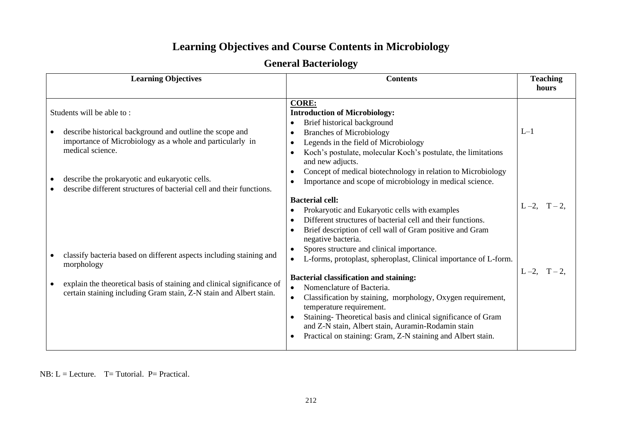## **Learning Objectives and Course Contents in Microbiology**

|  | <b>General Bacteriology</b> |  |
|--|-----------------------------|--|
|--|-----------------------------|--|

| <b>Learning Objectives</b>                                                                                                                                                                    | <b>Contents</b>                                                                                                                                                                                                                                                                                                                                                                                                                                                                                                                                                   | <b>Teaching</b><br>hours |
|-----------------------------------------------------------------------------------------------------------------------------------------------------------------------------------------------|-------------------------------------------------------------------------------------------------------------------------------------------------------------------------------------------------------------------------------------------------------------------------------------------------------------------------------------------------------------------------------------------------------------------------------------------------------------------------------------------------------------------------------------------------------------------|--------------------------|
| Students will be able to:<br>describe historical background and outline the scope and<br>importance of Microbiology as a whole and particularly in<br>medical science.                        | <b>CORE:</b><br><b>Introduction of Microbiology:</b><br>Brief historical background<br>$\bullet$<br><b>Branches of Microbiology</b><br>$\bullet$<br>Legends in the field of Microbiology<br>$\bullet$<br>Koch's postulate, molecular Koch's postulate, the limitations<br>$\bullet$<br>and new adjucts.                                                                                                                                                                                                                                                           | $L-1$                    |
| describe the prokaryotic and eukaryotic cells.<br>describe different structures of bacterial cell and their functions.<br>classify bacteria based on different aspects including staining and | Concept of medical biotechnology in relation to Microbiology<br>$\bullet$<br>Importance and scope of microbiology in medical science.<br>$\bullet$<br><b>Bacterial cell:</b><br>Prokaryotic and Eukaryotic cells with examples<br>$\bullet$<br>Different structures of bacterial cell and their functions.<br>$\bullet$<br>Brief description of cell wall of Gram positive and Gram<br>$\bullet$<br>negative bacteria.<br>Spores structure and clinical importance.<br>$\bullet$<br>L-forms, protoplast, spheroplast, Clinical importance of L-form.<br>$\bullet$ | $L-2$ , $T-2$ .          |
| morphology<br>explain the theoretical basis of staining and clinical significance of<br>certain staining including Gram stain, Z-N stain and Albert stain.                                    | <b>Bacterial classification and staining:</b><br>Nomenclature of Bacteria.<br>$\bullet$<br>Classification by staining, morphology, Oxygen requirement,<br>$\bullet$<br>temperature requirement.<br>Staining-Theoretical basis and clinical significance of Gram<br>$\bullet$<br>and Z-N stain, Albert stain, Auramin-Rodamin stain<br>Practical on staining: Gram, Z-N staining and Albert stain.<br>$\bullet$                                                                                                                                                    | $L-2$ , $T-2$ .          |

NB:  $L =$  Lecture. T= Tutorial. P= Practical.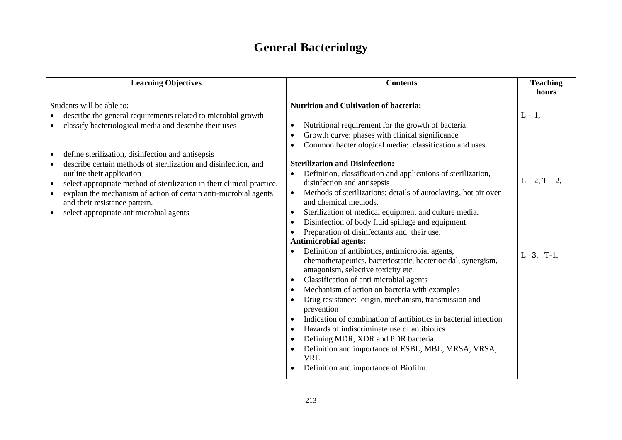# **General Bacteriology**

| <b>Learning Objectives</b>                                                                                                                                                                                                                                                                                                                                                                                                                                                                                                                                                 | <b>Contents</b>                                                                                                                                                                                                                                                                                                                                                                                                                                                                                                                                                                                                                                                                                                                                                                                                                                                                                                                                                                                                                                                                                                                                                                                                               | <b>Teaching</b><br>hours                         |
|----------------------------------------------------------------------------------------------------------------------------------------------------------------------------------------------------------------------------------------------------------------------------------------------------------------------------------------------------------------------------------------------------------------------------------------------------------------------------------------------------------------------------------------------------------------------------|-------------------------------------------------------------------------------------------------------------------------------------------------------------------------------------------------------------------------------------------------------------------------------------------------------------------------------------------------------------------------------------------------------------------------------------------------------------------------------------------------------------------------------------------------------------------------------------------------------------------------------------------------------------------------------------------------------------------------------------------------------------------------------------------------------------------------------------------------------------------------------------------------------------------------------------------------------------------------------------------------------------------------------------------------------------------------------------------------------------------------------------------------------------------------------------------------------------------------------|--------------------------------------------------|
| Students will be able to:<br>describe the general requirements related to microbial growth<br>classify bacteriological media and describe their uses<br>$\bullet$<br>define sterilization, disinfection and antisepsis<br>describe certain methods of sterilization and disinfection, and<br>outline their application<br>select appropriate method of sterilization in their clinical practice.<br>$\bullet$<br>explain the mechanism of action of certain anti-microbial agents<br>$\bullet$<br>and their resistance pattern.<br>select appropriate antimicrobial agents | <b>Nutrition and Cultivation of bacteria:</b><br>Nutritional requirement for the growth of bacteria.<br>Growth curve: phases with clinical significance<br>Common bacteriological media: classification and uses.<br><b>Sterilization and Disinfection:</b><br>Definition, classification and applications of sterilization,<br>disinfection and antisepsis<br>Methods of sterilizations: details of autoclaving, hot air oven<br>and chemical methods.<br>Sterilization of medical equipment and culture media.<br>$\bullet$<br>Disinfection of body fluid spillage and equipment.<br>Preparation of disinfectants and their use.<br>$\bullet$<br><b>Antimicrobial agents:</b><br>Definition of antibiotics, antimicrobial agents,<br>chemotherapeutics, bacteriostatic, bacteriocidal, synergism,<br>antagonism, selective toxicity etc.<br>Classification of anti microbial agents<br>Mechanism of action on bacteria with examples<br>Drug resistance: origin, mechanism, transmission and<br>prevention<br>Indication of combination of antibiotics in bacterial infection<br>Hazards of indiscriminate use of antibiotics<br>Defining MDR, XDR and PDR bacteria.<br>Definition and importance of ESBL, MBL, MRSA, VRSA, | $L-1$ ,<br>$L - 2, T - 2,$<br>$L-3$ ,<br>$T-1$ , |
|                                                                                                                                                                                                                                                                                                                                                                                                                                                                                                                                                                            | VRE.<br>Definition and importance of Biofilm.                                                                                                                                                                                                                                                                                                                                                                                                                                                                                                                                                                                                                                                                                                                                                                                                                                                                                                                                                                                                                                                                                                                                                                                 |                                                  |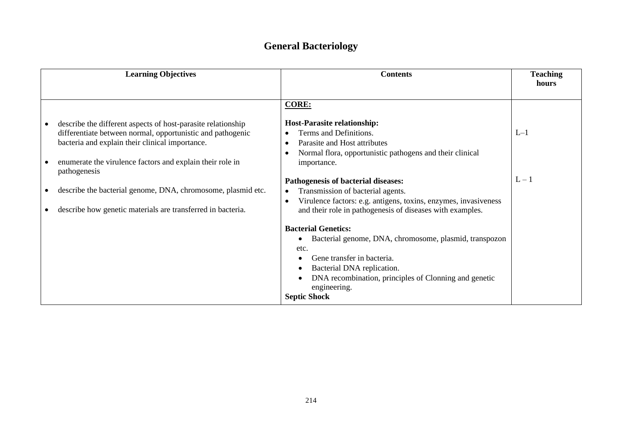### **General Bacteriology**

| <b>Learning Objectives</b>                                                                                                                                                                                                                                 | <b>Contents</b>                                                                                                                                                                                                            | <b>Teaching</b><br>hours |
|------------------------------------------------------------------------------------------------------------------------------------------------------------------------------------------------------------------------------------------------------------|----------------------------------------------------------------------------------------------------------------------------------------------------------------------------------------------------------------------------|--------------------------|
|                                                                                                                                                                                                                                                            |                                                                                                                                                                                                                            |                          |
|                                                                                                                                                                                                                                                            | <b>CORE:</b>                                                                                                                                                                                                               |                          |
| describe the different aspects of host-parasite relationship<br>differentiate between normal, opportunistic and pathogenic<br>bacteria and explain their clinical importance.<br>enumerate the virulence factors and explain their role in<br>pathogenesis | <b>Host-Parasite relationship:</b><br>Terms and Definitions.<br>Parasite and Host attributes<br>$\bullet$<br>Normal flora, opportunistic pathogens and their clinical<br>importance.                                       | $L-1$                    |
|                                                                                                                                                                                                                                                            | Pathogenesis of bacterial diseases:                                                                                                                                                                                        | $L - 1$                  |
| describe the bacterial genome, DNA, chromosome, plasmid etc.                                                                                                                                                                                               | Transmission of bacterial agents.<br>$\bullet$                                                                                                                                                                             |                          |
| describe how genetic materials are transferred in bacteria.                                                                                                                                                                                                | Virulence factors: e.g. antigens, toxins, enzymes, invasiveness<br>and their role in pathogenesis of diseases with examples.                                                                                               |                          |
|                                                                                                                                                                                                                                                            | <b>Bacterial Genetics:</b>                                                                                                                                                                                                 |                          |
|                                                                                                                                                                                                                                                            | Bacterial genome, DNA, chromosome, plasmid, transpozon<br>etc.<br>Gene transfer in bacteria.<br>Bacterial DNA replication.<br>DNA recombination, principles of Clonning and genetic<br>engineering.<br><b>Septic Shock</b> |                          |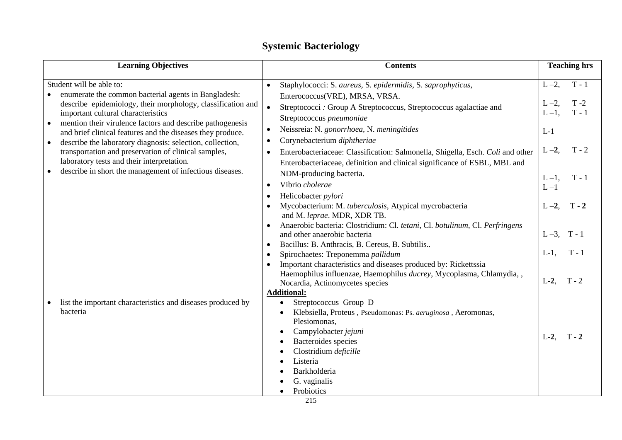| <b>Learning Objectives</b>                                                                                                                                                                                                                                                                                                                                                                                                                                                                                                                      | <b>Contents</b>                                                                                                                                                                                                                                                                                                                                                                                                                                                                                                                                                                                                                                                                                                                                                                                                                                                                                                                                                                                                                                                        | <b>Teaching hrs</b>                                                                                                                                                                                         |
|-------------------------------------------------------------------------------------------------------------------------------------------------------------------------------------------------------------------------------------------------------------------------------------------------------------------------------------------------------------------------------------------------------------------------------------------------------------------------------------------------------------------------------------------------|------------------------------------------------------------------------------------------------------------------------------------------------------------------------------------------------------------------------------------------------------------------------------------------------------------------------------------------------------------------------------------------------------------------------------------------------------------------------------------------------------------------------------------------------------------------------------------------------------------------------------------------------------------------------------------------------------------------------------------------------------------------------------------------------------------------------------------------------------------------------------------------------------------------------------------------------------------------------------------------------------------------------------------------------------------------------|-------------------------------------------------------------------------------------------------------------------------------------------------------------------------------------------------------------|
| Student will be able to:<br>enumerate the common bacterial agents in Bangladesh:<br>describe epidemiology, their morphology, classification and<br>important cultural characteristics<br>mention their virulence factors and describe pathogenesis<br>and brief clinical features and the diseases they produce.<br>describe the laboratory diagnosis: selection, collection,<br>transportation and preservation of clinical samples,<br>laboratory tests and their interpretation.<br>describe in short the management of infectious diseases. | Staphylococci: S. aureus, S. epidermidis, S. saprophyticus,<br>$\bullet$<br>Enterococcus(VRE), MRSA, VRSA.<br>$\bullet$<br>Streptococci : Group A Streptococcus, Streptococcus agalactiae and<br>Streptococcus pneumoniae<br>Neissreia: N. gonorrhoea, N. meningitides<br>$\bullet$<br>Corynebacterium diphtheriae<br>$\bullet$<br>Enterobacteriaceae: Classification: Salmonella, Shigella, Esch. Coli and other<br>Enterobacteriaceae, definition and clinical significance of ESBL, MBL and<br>NDM-producing bacteria.<br>Vibrio cholerae<br>Helicobacter pylori<br>Mycobacterium: M. tuberculosis, Atypical mycrobacteria<br>and M. leprae. MDR, XDR TB.<br>Anaerobic bacteria: Clostridium: Cl. tetani, Cl. botulinum, Cl. Perfringens<br>and other anaerobic bacteria<br>Bacillus: B. Anthracis, B. Cereus, B. Subtilis<br>Spirochaetes: Treponemma pallidum<br>Important characteristics and diseases produced by: Rickettssia<br>Haemophilus influenzae, Haemophilus ducrey, Mycoplasma, Chlamydia, ,<br>Nocardia, Actinomycetes species<br><b>Additional:</b> | $T - 1$<br>$L-2$ ,<br>$T - 2$<br>$L-2$ ,<br>$T - 1$<br>$L-1$ ,<br>$L-1$<br>$T - 2$<br>$L-2$ ,<br>$T - 1$<br>$L-1$ ,<br>$L - 1$<br>$L-2$ ,<br>$T - 2$<br>$L-3$ ,<br>$T - 1$<br>$L-1$ ,<br>$L-2$ .<br>$T - 2$ |
| list the important characteristics and diseases produced by<br>bacteria                                                                                                                                                                                                                                                                                                                                                                                                                                                                         | Streptococcus Group D<br>Klebsiella, Proteus, Pseudomonas: Ps. aeruginosa, Aeromonas,<br>Plesiomonas,<br>Campylobacter jejuni<br>Bacteroides species<br>Clostridium deficille<br>Listeria<br>Barkholderia<br>G. vaginalis<br>Probiotics                                                                                                                                                                                                                                                                                                                                                                                                                                                                                                                                                                                                                                                                                                                                                                                                                                | $L-2$ .                                                                                                                                                                                                     |

## **Systemic Bacteriology**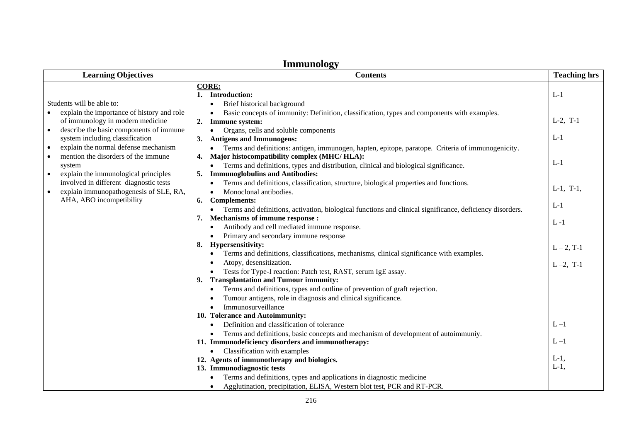| пшпиноюду<br><b>Learning Objectives</b><br><b>Contents</b><br><b>Teaching hrs</b>                                                      |                                                                                                                                                                                           |                    |  |
|----------------------------------------------------------------------------------------------------------------------------------------|-------------------------------------------------------------------------------------------------------------------------------------------------------------------------------------------|--------------------|--|
|                                                                                                                                        |                                                                                                                                                                                           |                    |  |
| Students will be able to:                                                                                                              | <b>CORE:</b><br>1. Introduction:<br>Brief historical background<br>$\bullet$                                                                                                              | $L-1$              |  |
| explain the importance of history and role<br>of immunology in modern medicine<br>describe the basic components of immune<br>$\bullet$ | Basic concepts of immunity: Definition, classification, types and components with examples.<br>$\bullet$<br>Immune system:<br>2.<br>Organs, cells and soluble components<br>$\bullet$     | $L-2$ , T-1        |  |
| system including classification<br>explain the normal defense mechanism<br>$\bullet$                                                   | 3. Antigens and Immunogens:<br>Terms and definitions: antigen, immunogen, hapten, epitope, paratope. Criteria of immunogenicity.<br>$\bullet$                                             | $L-1$              |  |
| mention the disorders of the immune<br>system<br>explain the immunological principles<br>$\bullet$                                     | 4. Major histocompatibility complex (MHC/HLA):<br>Terms and definitions, types and distribution, clinical and biological significance.<br>$\bullet$<br>5. Immunoglobulins and Antibodies: | $L-1$              |  |
| involved in different diagnostic tests<br>explain immunopathogenesis of SLE, RA,<br>$\bullet$<br>AHA, ABO incompetibility              | Terms and definitions, classification, structure, biological properties and functions.<br>Monoclonal antibodies.<br>$\bullet$<br><b>Complements:</b><br>6.                                | $L-1$ , T-1,       |  |
|                                                                                                                                        | Terms and definitions, activation, biological functions and clinical significance, deficiency disorders.<br>$\bullet$<br>Mechanisms of immune response :<br>7.                            | $L-1$<br>$L - 1$   |  |
|                                                                                                                                        | Antibody and cell mediated immune response.<br>Primary and secondary immune response                                                                                                      |                    |  |
|                                                                                                                                        | 8. Hypersensitivity:<br>Terms and definitions, classifications, mechanisms, clinical significance with examples.<br>٠                                                                     | $L - 2$ , T-1      |  |
|                                                                                                                                        | Atopy, desensitization.<br>Tests for Type-I reaction: Patch test, RAST, serum IgE assay.<br><b>Transplantation and Tumour immunity:</b><br>9.                                             | $L - 2$ , T-1      |  |
|                                                                                                                                        | Terms and definitions, types and outline of prevention of graft rejection.<br>Tumour antigens, role in diagnosis and clinical significance.<br>Immunosurveillance                         |                    |  |
|                                                                                                                                        | 10. Tolerance and Autoimmunity:<br>Definition and classification of tolerance<br>Terms and definitions, basic concepts and mechanism of development of autoimmuniy.                       | $L - 1$            |  |
|                                                                                                                                        | 11. Immunodeficiency disorders and immunotherapy:<br>Classification with examples<br>$\bullet$                                                                                            | $L - 1$            |  |
|                                                                                                                                        | 12. Agents of immunotherapy and biologics.<br>13. Immunodiagnostic tests<br>Terms and definitions, types and applications in diagnostic medicine                                          | $L-1$ ,<br>$L-1$ , |  |
|                                                                                                                                        | Agglutination, precipitation, ELISA, Western blot test, PCR and RT-PCR.                                                                                                                   |                    |  |

### **Immunology**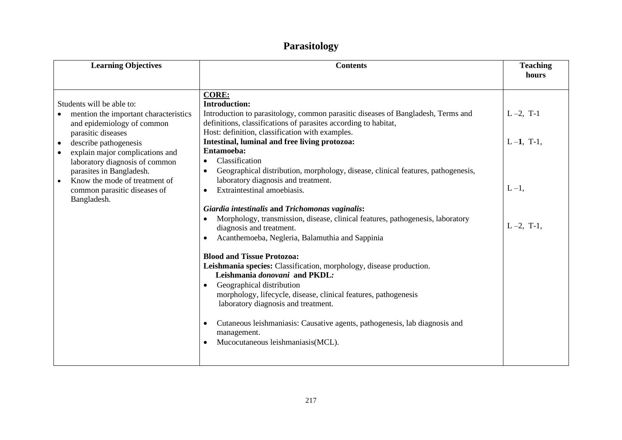## **Parasitology**

| <b>Learning Objectives</b>                                                                                                                                                                                                                                                                                                                    | <b>Contents</b>                                                                                                                                                                                                                                                                                                                                                                                                                                                                                                                                                                                                                                                                                                                                                                                                                                                                                                                                                                                                                                                                                                                                                            | <b>Teaching</b>                                          |
|-----------------------------------------------------------------------------------------------------------------------------------------------------------------------------------------------------------------------------------------------------------------------------------------------------------------------------------------------|----------------------------------------------------------------------------------------------------------------------------------------------------------------------------------------------------------------------------------------------------------------------------------------------------------------------------------------------------------------------------------------------------------------------------------------------------------------------------------------------------------------------------------------------------------------------------------------------------------------------------------------------------------------------------------------------------------------------------------------------------------------------------------------------------------------------------------------------------------------------------------------------------------------------------------------------------------------------------------------------------------------------------------------------------------------------------------------------------------------------------------------------------------------------------|----------------------------------------------------------|
|                                                                                                                                                                                                                                                                                                                                               |                                                                                                                                                                                                                                                                                                                                                                                                                                                                                                                                                                                                                                                                                                                                                                                                                                                                                                                                                                                                                                                                                                                                                                            | hours                                                    |
| Students will be able to:<br>mention the important characteristics<br>and epidemiology of common<br>parasitic diseases<br>describe pathogenesis<br>explain major complications and<br>laboratory diagnosis of common<br>parasites in Bangladesh.<br>Know the mode of treatment of<br>$\bullet$<br>common parasitic diseases of<br>Bangladesh. | <b>CORE:</b><br><b>Introduction:</b><br>Introduction to parasitology, common parasitic diseases of Bangladesh, Terms and<br>definitions, classifications of parasites according to habitat,<br>Host: definition, classification with examples.<br>Intestinal, luminal and free living protozoa:<br>Entamoeba:<br>Classification<br>$\bullet$<br>Geographical distribution, morphology, disease, clinical features, pathogenesis,<br>laboratory diagnosis and treatment.<br>Extraintestinal amoebiasis.<br>$\bullet$<br>Giardia intestinalis and Trichomonas vaginalis:<br>Morphology, transmission, disease, clinical features, pathogenesis, laboratory<br>diagnosis and treatment.<br>Acanthemoeba, Negleria, Balamuthia and Sappinia<br><b>Blood and Tissue Protozoa:</b><br>Leishmania species: Classification, morphology, disease production.<br>Leishmania donovani and PKDL:<br>Geographical distribution<br>$\bullet$<br>morphology, lifecycle, disease, clinical features, pathogenesis<br>laboratory diagnosis and treatment.<br>Cutaneous leishmaniasis: Causative agents, pathogenesis, lab diagnosis and<br>management.<br>Mucocutaneous leishmaniasis(MCL). | $L-2$ , T-1<br>$L-1$ , T-1,<br>$L-1$ ,<br>$L - 2$ , T-1, |
|                                                                                                                                                                                                                                                                                                                                               |                                                                                                                                                                                                                                                                                                                                                                                                                                                                                                                                                                                                                                                                                                                                                                                                                                                                                                                                                                                                                                                                                                                                                                            |                                                          |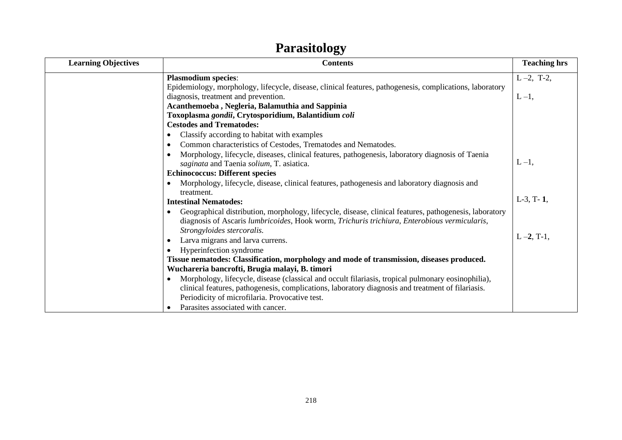#### **Contents Contents Contents Contents Teaching hrs Plasmodium species**: Epidemiology, morphology, lifecycle, disease, clinical features, pathogenesis, complications, laboratory diagnosis, treatment and prevention. **Acanthemoeba , Negleria, Balamuthia and Sappinia Toxoplasma** *gondii***, Crytosporidium, Balantidium** *coli* **Cestodes and Trematodes:** • Classify according to habitat with examples • Common characteristics of Cestodes, Trematodes and Nematodes. • Morphology, lifecycle, diseases, clinical features, pathogenesis, laboratory diagnosis of Taenia *saginata* and Taenia *solium*, T. asiatica. **Echinococcus: Different species** • Morphology, lifecycle, disease, clinical features, pathogenesis and laboratory diagnosis and treatment. **Intestinal Nematodes:** • Geographical distribution, morphology, lifecycle, disease, clinical features, pathogenesis, laboratory diagnosis of Ascaris *lumbricoides*, Hook worm, *Trichuris trichiura*, *Enterobious vermicularis*, *Strongyloides stercoralis.* • Larva migrans and larva currens. • Hyperinfection syndrome **Tissue nematodes: Classification, morphology and mode of transmission, diseases produced. Wuchareria bancrofti, Brugia malayi, B. timori** • Morphology, lifecycle, disease (classical and occult filariasis, tropical pulmonary eosinophilia), clinical features, pathogenesis, complications, laboratory diagnosis and treatment of filariasis. Periodicity of microfilaria. Provocative test. • Parasites associated with cancer.  $L - 2$ , T-2,  $L-1$ ,  $L - 1$ , L-3, T- **1**, L –**2**, T-1,

## **Parasitology**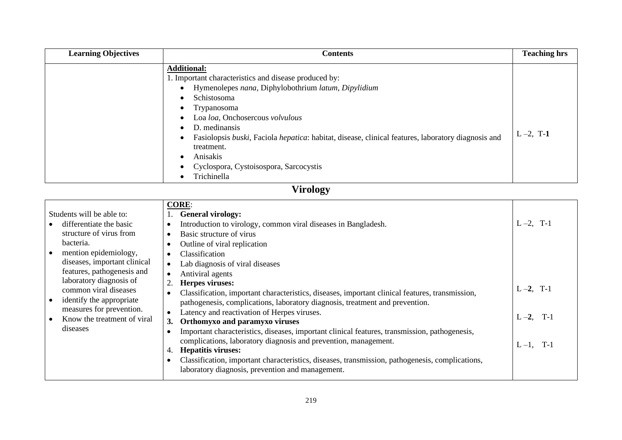| <b>Learning Objectives</b> | <b>Contents</b>                                                                                                                                                                                                                                                                                                                                                                                                                                | <b>Teaching hrs</b> |
|----------------------------|------------------------------------------------------------------------------------------------------------------------------------------------------------------------------------------------------------------------------------------------------------------------------------------------------------------------------------------------------------------------------------------------------------------------------------------------|---------------------|
|                            | <b>Additional:</b><br>1. Important characteristics and disease produced by:<br>Hymenolepes nana, Diphylobothrium latum, Dipylidium<br>$\bullet$<br>Schistosoma<br><b>Trypanosoma</b><br>Loa loa, Onchosercous volvulous<br>D. medinansis<br>$\bullet$<br>Fasiolopsis buski, Faciola hepatica: habitat, disease, clinical features, laboratory diagnosis and<br>treatment.<br>Anisakis<br>Cyclospora, Cystoisospora, Sarcocystis<br>Trichinella | $L - 2$ , T-1       |

# **Virology**

|                                                                                                                                                                                                                                                                                                                                         | <b>CORE:</b>                                                                                                                                                                                                                                                                                                                                                                                                                                                                                                                                                                                                                                                                                |                                                                        |
|-----------------------------------------------------------------------------------------------------------------------------------------------------------------------------------------------------------------------------------------------------------------------------------------------------------------------------------------|---------------------------------------------------------------------------------------------------------------------------------------------------------------------------------------------------------------------------------------------------------------------------------------------------------------------------------------------------------------------------------------------------------------------------------------------------------------------------------------------------------------------------------------------------------------------------------------------------------------------------------------------------------------------------------------------|------------------------------------------------------------------------|
| Students will be able to:                                                                                                                                                                                                                                                                                                               | <b>General virology:</b>                                                                                                                                                                                                                                                                                                                                                                                                                                                                                                                                                                                                                                                                    |                                                                        |
| differentiate the basic<br>structure of virus from<br>bacteria.<br>mention epidemiology,<br>$\bullet$<br>diseases, important clinical<br>features, pathogenesis and<br>laboratory diagnosis of<br>common viral diseases<br>identify the appropriate<br>$\bullet$<br>measures for prevention.<br>Know the treatment of viral<br>diseases | Introduction to virology, common viral diseases in Bangladesh.<br>Basic structure of virus<br>Outline of viral replication<br>Classification<br>Lab diagnosis of viral diseases<br>Antiviral agents<br>Herpes viruses:<br>Classification, important characteristics, diseases, important clinical features, transmission,<br>pathogenesis, complications, laboratory diagnosis, treatment and prevention.<br>Latency and reactivation of Herpes viruses.<br>Orthomyxo and paramyxo viruses<br>Important characteristics, diseases, important clinical features, transmission, pathogenesis,<br>complications, laboratory diagnosis and prevention, management.<br><b>Hepatitis viruses:</b> | $L - 2$ , T-1<br>$L - 2$ , T-1<br>$L-2$ ,<br>$T-1$<br>$T-1$<br>$L-1$ . |
|                                                                                                                                                                                                                                                                                                                                         | Classification, important characteristics, diseases, transmission, pathogenesis, complications,<br>laboratory diagnosis, prevention and management.                                                                                                                                                                                                                                                                                                                                                                                                                                                                                                                                         |                                                                        |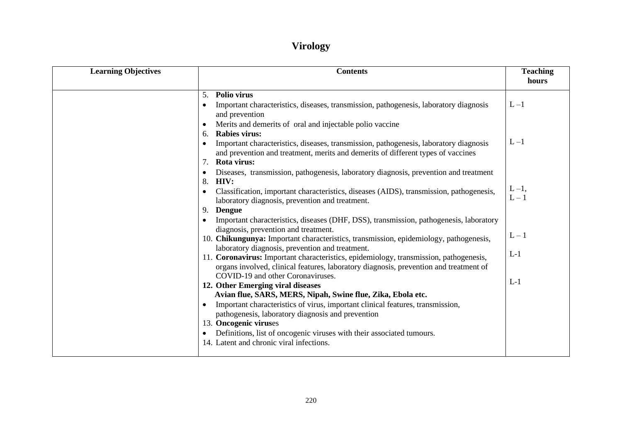## **Virology**

| <b>Learning Objectives</b>                                                                                                                                                                                                                 | <b>Teaching</b><br>hours |
|--------------------------------------------------------------------------------------------------------------------------------------------------------------------------------------------------------------------------------------------|--------------------------|
| Polio virus<br>5.<br>$L - 1$<br>Important characteristics, diseases, transmission, pathogenesis, laboratory diagnosis<br>and prevention                                                                                                    |                          |
| Merits and demerits of oral and injectable polio vaccine<br><b>Rabies virus:</b><br>6.<br>$L - 1$<br>Important characteristics, diseases, transmission, pathogenesis, laboratory diagnosis                                                 |                          |
| and prevention and treatment, merits and demerits of different types of vaccines<br>Rota virus:<br>7.                                                                                                                                      |                          |
| Diseases, transmission, pathogenesis, laboratory diagnosis, prevention and treatment<br>8.<br>HIV:<br>Classification, important characteristics, diseases (AIDS), transmission, pathogenesis,<br>$\bullet$                                 | $L-1$ ,                  |
| laboratory diagnosis, prevention and treatment.<br><b>Dengue</b><br>9.<br>Important characteristics, diseases (DHF, DSS), transmission, pathogenesis, laboratory                                                                           | $L - 1$                  |
| diagnosis, prevention and treatment.<br>10. Chikungunya: Important characteristics, transmission, epidemiology, pathogenesis,                                                                                                              | $L - 1$                  |
| laboratory diagnosis, prevention and treatment.<br>$L-1$<br>11. Coronavirus: Important characteristics, epidemiology, transmission, pathogenesis,<br>organs involved, clinical features, laboratory diagnosis, prevention and treatment of |                          |
| COVID-19 and other Coronaviruses.<br>$L-1$<br>12. Other Emerging viral diseases<br>Avian flue, SARS, MERS, Nipah, Swine flue, Zika, Ebola etc.                                                                                             |                          |
| Important characteristics of virus, important clinical features, transmission,<br>$\bullet$<br>pathogenesis, laboratory diagnosis and prevention                                                                                           |                          |
| 13. Oncogenic viruses<br>Definitions, list of oncogenic viruses with their associated tumours.<br>14. Latent and chronic viral infections.                                                                                                 |                          |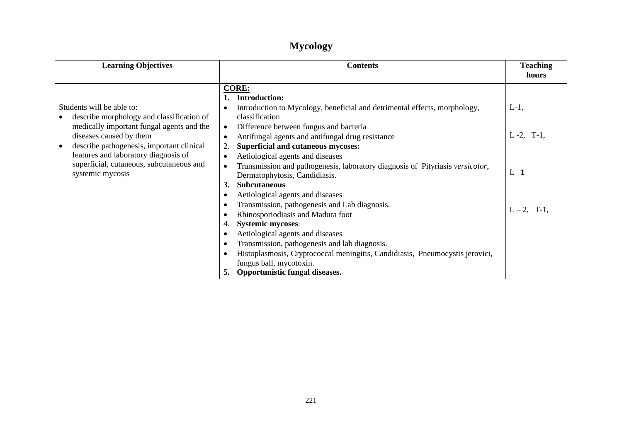## **Mycology**

| <b>Learning Objectives</b>                                                                                                                                                                                                                                                                          | <b>Contents</b>                                                                                                                                                                                                                                                                                                                                                                                                                                                                                                                                                                                                                                                                                                                                                                                                                                                        | <b>Teaching</b><br>hours                               |
|-----------------------------------------------------------------------------------------------------------------------------------------------------------------------------------------------------------------------------------------------------------------------------------------------------|------------------------------------------------------------------------------------------------------------------------------------------------------------------------------------------------------------------------------------------------------------------------------------------------------------------------------------------------------------------------------------------------------------------------------------------------------------------------------------------------------------------------------------------------------------------------------------------------------------------------------------------------------------------------------------------------------------------------------------------------------------------------------------------------------------------------------------------------------------------------|--------------------------------------------------------|
| Students will be able to:<br>describe morphology and classification of<br>medically important fungal agents and the<br>diseases caused by them<br>describe pathogenesis, important clinical<br>features and laboratory diagnosis of<br>superficial, cutaneous, subcutaneous and<br>systemic mycosis | <b>CORE:</b><br><b>Introduction:</b><br>Introduction to Mycology, beneficial and detrimental effects, morphology,<br>classification<br>Difference between fungus and bacteria<br>Antifungal agents and antifungal drug resistance<br><b>Superficial and cutaneous mycoses:</b><br>Aetiological agents and diseases<br>Transmission and pathogenesis, laboratory diagnosis of Pityriasis versicolor,<br>Dermatophytosis, Candidiasis.<br><b>Subcutaneous</b><br><b>3.</b><br>Aetiological agents and diseases<br>Transmission, pathogenesis and Lab diagnosis.<br>Rhinosporiodiasis and Madura foot<br><b>Systemic mycoses:</b><br>Aetiological agents and diseases<br>Transmission, pathogenesis and lab diagnosis.<br>Histoplasmosis, Cryptococcal meningitis, Candidiasis, Pneumocystis jerovici,<br>fungus ball, mycotoxin.<br>Opportunistic fungal diseases.<br>5. | $L-1$ ,<br>$L - 2$ , T-1.<br>$L - 1$<br>$L - 2$ , T-1. |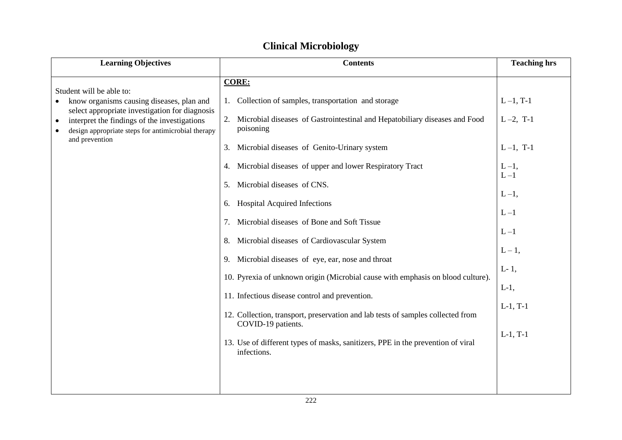### **Clinical Microbiology**

| <b>Learning Objectives</b>                                                                                                                                        | <b>Contents</b>                                                                                | <b>Teaching hrs</b> |
|-------------------------------------------------------------------------------------------------------------------------------------------------------------------|------------------------------------------------------------------------------------------------|---------------------|
|                                                                                                                                                                   | <b>CORE:</b>                                                                                   |                     |
| Student will be able to:<br>know organisms causing diseases, plan and                                                                                             | Collection of samples, transportation and storage                                              | $L-1$ , T-1         |
| select appropriate investigation for diagnosis<br>interpret the findings of the investigations<br>$\bullet$<br>design appropriate steps for antimicrobial therapy | Microbial diseases of Gastrointestinal and Hepatobiliary diseases and Food<br>2.<br>poisoning  | $L - 2$ , T-1       |
| and prevention                                                                                                                                                    | Microbial diseases of Genito-Urinary system<br>3.                                              | $L-1$ , T-1         |
|                                                                                                                                                                   | 4. Microbial diseases of upper and lower Respiratory Tract                                     | $L-1$ ,             |
|                                                                                                                                                                   | Microbial diseases of CNS.<br>5.                                                               | $L - 1$             |
|                                                                                                                                                                   | 6. Hospital Acquired Infections                                                                | $L-1$ ,             |
|                                                                                                                                                                   | Microbial diseases of Bone and Soft Tissue<br>7.                                               | $L - 1$             |
|                                                                                                                                                                   | 8. Microbial diseases of Cardiovascular System                                                 | $L - 1$             |
|                                                                                                                                                                   | 9. Microbial diseases of eye, ear, nose and throat                                             | $L-1$ ,             |
|                                                                                                                                                                   | 10. Pyrexia of unknown origin (Microbial cause with emphasis on blood culture).                | $L-1$ ,             |
|                                                                                                                                                                   | 11. Infectious disease control and prevention.                                                 | $L-1$ ,             |
|                                                                                                                                                                   | 12. Collection, transport, preservation and lab tests of samples collected from                | $L-1$ , T-1         |
|                                                                                                                                                                   | COVID-19 patients.                                                                             | $L-1$ , T-1         |
|                                                                                                                                                                   | 13. Use of different types of masks, sanitizers, PPE in the prevention of viral<br>infections. |                     |
|                                                                                                                                                                   |                                                                                                |                     |
|                                                                                                                                                                   |                                                                                                |                     |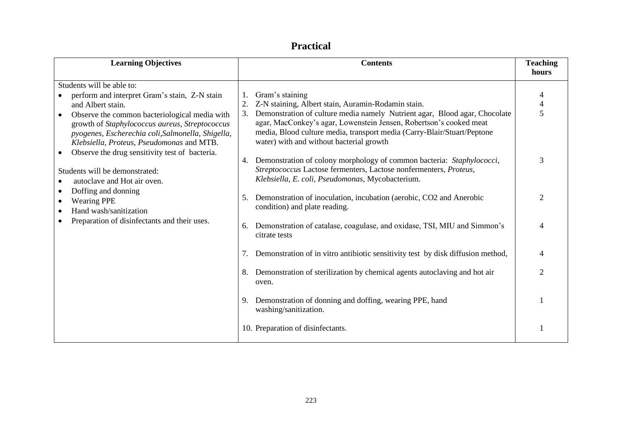| <b>Learning Objectives</b>                                                                                                                                                                                                                                                                           | <b>Contents</b>                                                                                                                                                                                                                                                                                                                                        | <b>Teaching</b><br>hours |
|------------------------------------------------------------------------------------------------------------------------------------------------------------------------------------------------------------------------------------------------------------------------------------------------------|--------------------------------------------------------------------------------------------------------------------------------------------------------------------------------------------------------------------------------------------------------------------------------------------------------------------------------------------------------|--------------------------|
|                                                                                                                                                                                                                                                                                                      |                                                                                                                                                                                                                                                                                                                                                        |                          |
| Students will be able to:<br>perform and interpret Gram's stain, Z-N stain<br>and Albert stain.<br>Observe the common bacteriological media with<br>growth of Staphylococcus aureus, Streptococcus<br>pyogenes, Escherechia coli, Salmonella, Shigella,<br>Klebsiella, Proteus, Pseudomonas and MTB. | Gram's staining<br>Z-N staining, Albert stain, Auramin-Rodamin stain.<br>Demonstration of culture media namely Nutrient agar, Blood agar, Chocolate<br>3.<br>agar, MacConkey's agar, Lowenstein Jensen, Robertson's cooked meat<br>media, Blood culture media, transport media (Carry-Blair/Stuart/Peptone<br>water) with and without bacterial growth | 4<br>$\overline{4}$<br>5 |
| Observe the drug sensitivity test of bacteria.<br>$\bullet$<br>Students will be demonstrated:<br>autoclave and Hot air oven.                                                                                                                                                                         | Demonstration of colony morphology of common bacteria: Staphylococci,<br>4.<br>Streptococcus Lactose fermenters, Lactose nonfermenters, Proteus,<br>Klebsiella, E. coli, Pseudomonas, Mycobacterium.                                                                                                                                                   | 3                        |
| Doffing and donning<br>٠<br><b>Wearing PPE</b><br>$\bullet$<br>Hand wash/sanitization<br>$\bullet$                                                                                                                                                                                                   | Demonstration of inoculation, incubation (aerobic, CO2 and Anerobic<br>5.<br>condition) and plate reading.                                                                                                                                                                                                                                             | $\mathcal{D}_{\cdot}$    |
| Preparation of disinfectants and their uses.                                                                                                                                                                                                                                                         | Demonstration of catalase, coagulase, and oxidase, TSI, MIU and Simmon's<br>6.<br>citrate tests                                                                                                                                                                                                                                                        | 4                        |
|                                                                                                                                                                                                                                                                                                      | Demonstration of in vitro antibiotic sensitivity test by disk diffusion method,<br>7.                                                                                                                                                                                                                                                                  | 4                        |
|                                                                                                                                                                                                                                                                                                      | Demonstration of sterilization by chemical agents autoclaving and hot air<br>8.<br>oven.                                                                                                                                                                                                                                                               | $\overline{2}$           |
|                                                                                                                                                                                                                                                                                                      | Demonstration of donning and doffing, wearing PPE, hand<br>9.<br>washing/sanitization.                                                                                                                                                                                                                                                                 |                          |
|                                                                                                                                                                                                                                                                                                      | 10. Preparation of disinfectants.                                                                                                                                                                                                                                                                                                                      |                          |

### **Practical**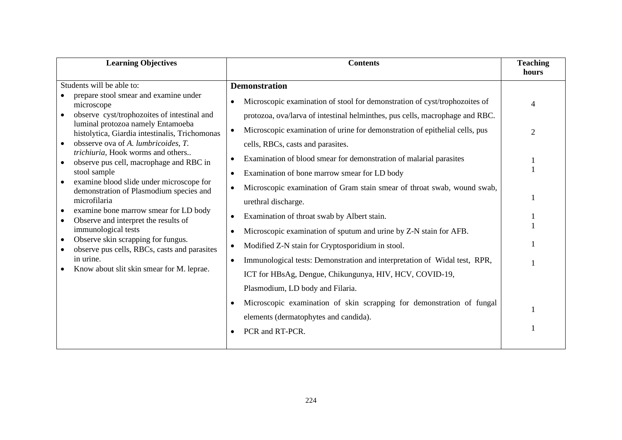| <b>Learning Objectives</b>                                                                                                                                                                                                                                                                                                                                                                                                                                                                                                                                                                                                                                                                                                                                          | <b>Contents</b>                                                                                                                                                                                                                                                                                                                                                                                                                                                                                                                                                                                                                                                                                                                                                                                                                                                                                                                                                                                                                                                             | <b>Teaching</b> |
|---------------------------------------------------------------------------------------------------------------------------------------------------------------------------------------------------------------------------------------------------------------------------------------------------------------------------------------------------------------------------------------------------------------------------------------------------------------------------------------------------------------------------------------------------------------------------------------------------------------------------------------------------------------------------------------------------------------------------------------------------------------------|-----------------------------------------------------------------------------------------------------------------------------------------------------------------------------------------------------------------------------------------------------------------------------------------------------------------------------------------------------------------------------------------------------------------------------------------------------------------------------------------------------------------------------------------------------------------------------------------------------------------------------------------------------------------------------------------------------------------------------------------------------------------------------------------------------------------------------------------------------------------------------------------------------------------------------------------------------------------------------------------------------------------------------------------------------------------------------|-----------------|
| Students will be able to:<br>prepare stool smear and examine under<br>microscope<br>observe cyst/trophozoites of intestinal and<br>luminal protozoa namely Entamoeba<br>histolytica, Giardia intestinalis, Trichomonas<br>obsserve ova of A. lumbricoides, T.<br>trichiuria, Hook worms and others<br>observe pus cell, macrophage and RBC in<br>stool sample<br>examine blood slide under microscope for<br>demonstration of Plasmodium species and<br>microfilaria<br>examine bone marrow smear for LD body<br>$\bullet$<br>Observe and interpret the results of<br>$\bullet$<br>immunological tests<br>Observe skin scrapping for fungus.<br>$\bullet$<br>observe pus cells, RBCs, casts and parasites<br>in urine.<br>Know about slit skin smear for M. leprae. | <b>Demonstration</b><br>Microscopic examination of stool for demonstration of cyst/trophozoites of<br>$\bullet$<br>protozoa, ova/larva of intestinal helminthes, pus cells, macrophage and RBC.<br>Microscopic examination of urine for demonstration of epithelial cells, pus<br>$\bullet$<br>cells, RBCs, casts and parasites.<br>Examination of blood smear for demonstration of malarial parasites<br>$\bullet$<br>Examination of bone marrow smear for LD body<br>Microscopic examination of Gram stain smear of throat swab, wound swab,<br>urethral discharge.<br>Examination of throat swab by Albert stain.<br>Microscopic examination of sputum and urine by Z-N stain for AFB.<br>Modified Z-N stain for Cryptosporidium in stool.<br>Immunological tests: Demonstration and interpretation of Widal test, RPR,<br>$\bullet$<br>ICT for HBsAg, Dengue, Chikungunya, HIV, HCV, COVID-19,<br>Plasmodium, LD body and Filaria.<br>Microscopic examination of skin scrapping for demonstration of fungal<br>elements (dermatophytes and candida).<br>PCR and RT-PCR. | hours<br>2      |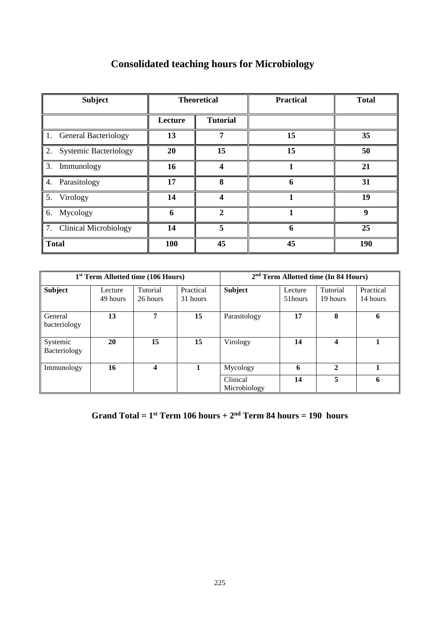| <b>Subject</b>           |         | <b>Theoretical</b> | <b>Practical</b> | <b>Total</b> |
|--------------------------|---------|--------------------|------------------|--------------|
|                          | Lecture | <b>Tutorial</b>    |                  |              |
| 1. General Bacteriology  | 13      | 7                  | 15               | 35           |
| 2. Systemic Bacteriology | 20      | 15                 | 15               | 50           |
| 3. Immunology            | 16      | 4                  |                  | 21           |
| 4. Parasitology          | 17      | 8                  | 6                | 31           |
| 5. Virology              | 14      | Δ                  |                  | 19           |
| 6. Mycology              | 6       | $\mathbf{2}$       |                  | 9            |
| 7. Clinical Microbiology | 14      | 5                  | 6                | 25           |
| <b>Total</b>             | 100     | 45                 | 45               | 190          |

## **Consolidated teaching hours for Microbiology**

| 1 <sup>st</sup> Term Allotted time (106 Hours) |                     |                      |                       |                          |                    | $2nd$ Term Allotted time (In 84 Hours) |                       |
|------------------------------------------------|---------------------|----------------------|-----------------------|--------------------------|--------------------|----------------------------------------|-----------------------|
| <b>Subject</b>                                 | Lecture<br>49 hours | Tutorial<br>26 hours | Practical<br>31 hours | <b>Subject</b>           | Lecture<br>51hours | Tutorial<br>19 hours                   | Practical<br>14 hours |
| General<br>bacteriology                        | 13                  | 7                    | 15                    | Parasitology             | 17                 | 8                                      | 6                     |
| Systemic<br>Bacteriology                       | 20                  | 15                   | 15                    | Virology                 | 14                 | 4                                      |                       |
| Immunology                                     | 16                  | 4                    |                       | Mycology                 | 6                  | $\mathbf{2}$                           |                       |
|                                                |                     |                      |                       | Clinical<br>Microbiology | 14                 | 5                                      | 6                     |

### **Grand Total** =  $1$ <sup>st</sup> **Term** 106 hours +  $2<sup>nd</sup>$  **Term 84** hours = 190 hours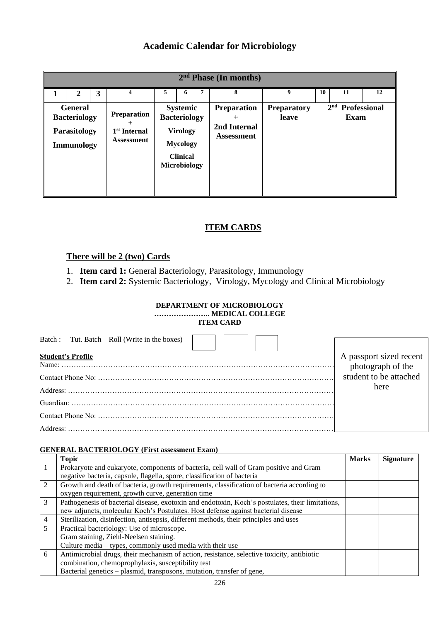### **Academic Calendar for Microbiology**

| 2 <sup>nd</sup> Phase (In months) |                                                                            |   |                                                                     |   |                                                                                                                        |   |                                                         |                             |    |                                   |    |
|-----------------------------------|----------------------------------------------------------------------------|---|---------------------------------------------------------------------|---|------------------------------------------------------------------------------------------------------------------------|---|---------------------------------------------------------|-----------------------------|----|-----------------------------------|----|
|                                   | $\mathbf{2}$                                                               | 3 | 4                                                                   | 5 | 6                                                                                                                      | 7 | 8                                                       | 9                           | 10 | 11                                | 12 |
|                                   | <b>General</b><br><b>Bacteriology</b><br>Parasitology<br><b>Immunology</b> |   | <b>Preparation</b><br>1 <sup>st</sup> Internal<br><b>Assessment</b> |   | <b>Systemic</b><br><b>Bacteriology</b><br><b>Virology</b><br><b>Mycology</b><br><b>Clinical</b><br><b>Microbiology</b> |   | <b>Preparation</b><br>2nd Internal<br><b>Assessment</b> | <b>Preparatory</b><br>leave |    | $2nd$ Professional<br><b>Exam</b> |    |

### **ITEM CARDS**

### **There will be 2 (two) Cards**

- 1. **Item card 1:** General Bacteriology, Parasitology, Immunology
- 2. **Item card 2:** Systemic Bacteriology, Virology, Mycology and Clinical Microbiology

### **DEPARTMENT OF MICROBIOLOGY**

**………………….. MEDICAL COLLEGE**

|  | <b>ITEM CARD</b> |
|--|------------------|
|--|------------------|

| Batch: Tut. Batch Roll (Write in the boxes) |                                                                        |
|---------------------------------------------|------------------------------------------------------------------------|
| <b>Student's Profile</b>                    |                                                                        |
|                                             | A passport sized recent<br>photograph of the<br>student to be attached |
|                                             |                                                                        |
|                                             |                                                                        |
|                                             | here                                                                   |
|                                             |                                                                        |
|                                             |                                                                        |
|                                             |                                                                        |
|                                             |                                                                        |
|                                             |                                                                        |
|                                             |                                                                        |
|                                             |                                                                        |

#### **GENERAL BACTERIOLOGY (First assessment Exam)**

|                | <b>Topic</b>                                                                                     | <b>Marks</b> | <b>Signature</b> |
|----------------|--------------------------------------------------------------------------------------------------|--------------|------------------|
|                | Prokaryote and eukaryote, components of bacteria, cell wall of Gram positive and Gram            |              |                  |
|                | negative bacteria, capsule, flagella, spore, classification of bacteria                          |              |                  |
| $\mathfrak{D}$ | Growth and death of bacteria, growth requirements, classification of bacteria according to       |              |                  |
|                | oxygen requirement, growth curve, generation time                                                |              |                  |
| 3              | Pathogenesis of bacterial disease, exotoxin and endotoxin, Koch's postulates, their limitations, |              |                  |
|                | new adjuncts, molecular Koch's Postulates. Host defense against bacterial disease                |              |                  |
| 4              | Sterilization, disinfection, antisepsis, different methods, their principles and uses            |              |                  |
| 5              | Practical bacteriology: Use of microscope.                                                       |              |                  |
|                | Gram staining, Ziehl-Neelsen staining.                                                           |              |                  |
|                | Culture media – types, commonly used media with their use                                        |              |                  |
| 6              | Antimicrobial drugs, their mechanism of action, resistance, selective toxicity, antibiotic       |              |                  |
|                | combination, chemoprophylaxis, susceptibility test                                               |              |                  |
|                | Bacterial genetics – plasmid, transposons, mutation, transfer of gene,                           |              |                  |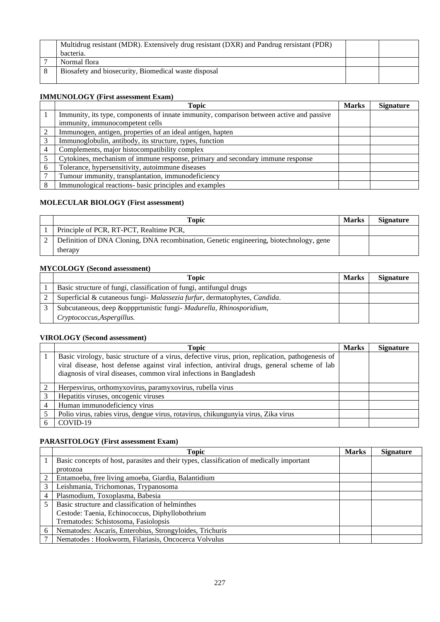| Multidrug resistant (MDR). Extensively drug resistant (DXR) and Pandrug rersistant (PDR)<br>bacteria. |  |
|-------------------------------------------------------------------------------------------------------|--|
| Normal flora                                                                                          |  |
| Biosafety and biosecurity, Biomedical waste disposal                                                  |  |

#### **IMMUNOLOGY (First assessment Exam)**

|   | <b>Topic</b>                                                                             | <b>Marks</b> | <b>Signature</b> |
|---|------------------------------------------------------------------------------------------|--------------|------------------|
|   | Immunity, its type, components of innate immunity, comparison between active and passive |              |                  |
|   | immunity, immunocompetent cells                                                          |              |                  |
|   | Immunogen, antigen, properties of an ideal antigen, hapten                               |              |                  |
|   | Immunoglobulin, antibody, its structure, types, function                                 |              |                  |
|   | Complements, major histocompatibility complex                                            |              |                  |
|   | Cytokines, mechanism of immune response, primary and secondary immune response           |              |                  |
| 6 | Tolerance, hypersensitivity, autoimmune diseases                                         |              |                  |
|   | Tumour immunity, transplantation, immunodeficiency                                       |              |                  |
|   | Immunological reactions- basic principles and examples                                   |              |                  |

#### **MOLECULAR BIOLOGY (First assessment)**

| Topic                                                                                  | <b>Marks</b> | <b>Signature</b> |
|----------------------------------------------------------------------------------------|--------------|------------------|
| Principle of PCR, RT-PCT, Realtime PCR,                                                |              |                  |
| Definition of DNA Cloning, DNA recombination, Genetic engineering, biotechnology, gene |              |                  |
| therapy                                                                                |              |                  |

#### **MYCOLOGY (Second assessment)**

| Topic                                                                     | <b>Marks</b> | <b>Signature</b> |
|---------------------------------------------------------------------------|--------------|------------------|
| Basic structure of fungi, classification of fungi, antifungul drugs       |              |                  |
| Superficial & cutaneous fungi- Malassezia furfur, dermatophytes, Candida. |              |                  |
| Subcutaneous, deep &oppprtunistic fungi- Madurella, Rhinosporidium,       |              |                  |
| Cryptococcus, Aspergillus.                                                |              |                  |

#### **VIROLOGY (Second assessment)**

|   | <b>Topic</b>                                                                                                                                                                                                                                                          | <b>Marks</b> | <b>Signature</b> |
|---|-----------------------------------------------------------------------------------------------------------------------------------------------------------------------------------------------------------------------------------------------------------------------|--------------|------------------|
|   | Basic virology, basic structure of a virus, defective virus, prion, replication, pathogenesis of<br>viral disease, host defense against viral infection, antiviral drugs, general scheme of lab<br>diagnosis of viral diseases, common viral infections in Bangladesh |              |                  |
|   | Herpesvirus, orthomyxovirus, paramyxovirus, rubella virus                                                                                                                                                                                                             |              |                  |
| 3 | Hepatitis viruses, oncogenic viruses                                                                                                                                                                                                                                  |              |                  |
|   | Human immunodeficiency virus                                                                                                                                                                                                                                          |              |                  |
|   | Polio virus, rabies virus, dengue virus, rotavirus, chikungunyia virus, Zika virus                                                                                                                                                                                    |              |                  |
|   | COVID-19                                                                                                                                                                                                                                                              |              |                  |

#### **PARASITOLOGY (First assessment Exam)**

|   | <b>Topic</b>                                                                             | <b>Marks</b> | <b>Signature</b> |
|---|------------------------------------------------------------------------------------------|--------------|------------------|
|   | Basic concepts of host, parasites and their types, classification of medically important |              |                  |
|   | protozoa                                                                                 |              |                  |
|   | Entamoeba, free living amoeba, Giardia, Balantidium                                      |              |                  |
|   | Leishmania, Trichomonas, Trypanosoma                                                     |              |                  |
|   | Plasmodium, Toxoplasma, Babesia                                                          |              |                  |
|   | Basic structure and classification of helminthes                                         |              |                  |
|   | Cestode: Taenia, Echinococcus, Diphyllobothrium                                          |              |                  |
|   | Trematodes: Schistosoma, Fasiolopsis                                                     |              |                  |
| 6 | Nematodes: Ascaris, Enterobius, Strongyloides, Trichuris                                 |              |                  |
|   | Nematodes : Hookworm, Filariasis, Oncocerca Volvulus                                     |              |                  |